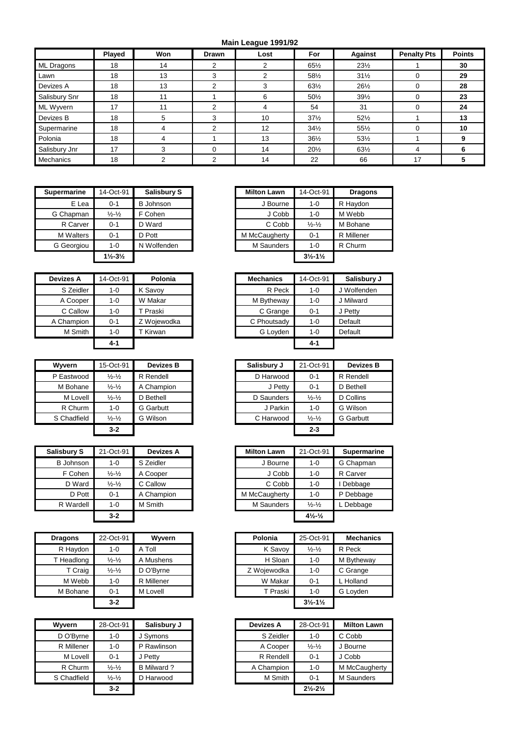## **Main League 1991/92**

|               | Played | Won | <b>Drawn</b>   | Lost | For             | <b>Against</b>  | <b>Penalty Pts</b> | <b>Points</b> |
|---------------|--------|-----|----------------|------|-----------------|-----------------|--------------------|---------------|
| ML Dragons    | 18     | 14  | $\overline{2}$ | 2    | 65½             | $23\frac{1}{2}$ |                    | 30            |
| Lawn          | 18     | 13  | 3              |      | 581/2           | $31\frac{1}{2}$ | 0                  | 29            |
| Devizes A     | 18     | 13  | 2              | З    | 631/2           | 261/2           | 0                  | 28            |
| Salisbury Snr | 18     | 11  |                | 6    | $50\frac{1}{2}$ | $39\frac{1}{2}$ |                    | 23            |
| ML Wyvern     | 17     | 11  | ົ              | 4    | 54              | 31              | 0                  | 24            |
| Devizes B     | 18     | 5   | 3              | 10   | 37%             | $52\frac{1}{2}$ |                    | 13            |
| Supermarine   | 18     |     | 2              | 12   | $34\frac{1}{2}$ | 551/2           | $\Omega$           | 10            |
| Polonia       | 18     | 4   |                | 13   | $36\frac{1}{2}$ | $53\frac{1}{2}$ |                    | 9             |
| Salisbury Jnr | 17     |     | $\Omega$       | 14   | $20\frac{1}{2}$ | 631/2           | 4                  | 6             |
| Mechanics     | 18     |     | 2              | 14   | 22              | 66              | 17                 |               |

| <b>Supermarine</b> | 14-Oct-91                     | <b>Salisbury S</b> | <b>Milton Lawn</b> | 14-Oct-91                     | <b>Dragons</b> |
|--------------------|-------------------------------|--------------------|--------------------|-------------------------------|----------------|
| E Lea              | $0 - 1$                       | <b>B</b> Johnson   | J Bourne           | $1 - 0$                       | R Haydon       |
| G Chapman          | $\frac{1}{2} - \frac{1}{2}$   | F Cohen            | J Cobb             | $1 - 0$                       | M Webb         |
| R Carver           | $0 - 1$                       | D Ward             | C Cobb             | $\frac{1}{2} - \frac{1}{2}$   | M Bohane       |
| <b>M</b> Walters   | $0 - 1$                       | D Pott             | M McCaugherty      | $0 - 1$                       | R Millener     |
| G Georgiou         | $1 - 0$                       | N Wolfenden        | M Saunders         | $1 - 0$                       | R Churm        |
|                    | $1\frac{1}{2} - 3\frac{1}{2}$ |                    |                    | $3\frac{1}{2} - 1\frac{1}{2}$ |                |

| <b>Devizes A</b> | 14-Oct-91 | Polonia     | <b>Mechanics</b> | 14-Oct-91 | <b>Salisby</b> |
|------------------|-----------|-------------|------------------|-----------|----------------|
| S Zeidler        | $1 - 0$   | K Savoy     | R Peck           | $1 - 0$   | J Wolfen       |
| A Cooper         | $1 - 0$   | W Makar     | M Bytheway       | $1 - 0$   | J Milward      |
| C Callow         | $1 - 0$   | T Praski    | C Grange         | $0 - 1$   | J Petty        |
| A Champion       | $0 - 1$   | Z Woiewodka | C Phoutsady      | $1 - 0$   | Default        |
| M Smith          | $1 - 0$   | T Kirwan    | G Loyden         | $1 - 0$   | Default        |
|                  | $4 - 1$   |             |                  | $4 - 1$   |                |

| Wyvern      | 15-Oct-91                   | <b>Devizes B</b> | Salisbury J | 21-Oct-91                   | <b>Devize</b>    |
|-------------|-----------------------------|------------------|-------------|-----------------------------|------------------|
| P Eastwood  | $\frac{1}{2} - \frac{1}{2}$ | R Rendell        | D Harwood   | $0 - 1$                     | R Rendell        |
| M Bohane    | $\frac{1}{2} - \frac{1}{2}$ | A Champion       | J Petty     | $0 - 1$                     | D Bethell        |
| M Lovell    | $\frac{1}{2} - \frac{1}{2}$ | D Bethell        | D Saunders  | $\frac{1}{2} - \frac{1}{2}$ | D Collins        |
| R Churm     | $1 - 0$                     | <b>G</b> Garbutt | J Parkin    | $1 - 0$                     | G Wilson         |
| S Chadfield | $\frac{1}{2} - \frac{1}{2}$ | G Wilson         | C Harwood   | $\frac{1}{2} - \frac{1}{2}$ | <b>G</b> Garbutt |
|             | $3 - 2$                     |                  |             | $2 - 3$                     |                  |

| Salisbury S      | 21-Oct-91                   | <b>Devizes A</b> | <b>Milton Lawn</b> | 21-Oct-91                      | <b>Supern</b> |
|------------------|-----------------------------|------------------|--------------------|--------------------------------|---------------|
| <b>B</b> Johnson | 1-0                         | S Zeidler        | J Bourne           | $1 - 0$                        | G Chapn       |
| F Cohen          | $\frac{1}{2} - \frac{1}{2}$ | A Cooper         | J Cobb             | $1 - 0$                        | R Carver      |
| D Ward           | $\frac{1}{2} - \frac{1}{2}$ | C Callow         | C Cobb             | $1 - 0$                        |               |
| D Pott           | $0 - 1$                     | A Champion       | M McCaugherty      | $1 - 0$                        | P Debba       |
| R Wardell        | $1 - 0$                     | M Smith          | M Saunders         | $\frac{1}{2} - \frac{1}{2}$    | L Debba       |
|                  | $3 - 2$                     |                  |                    | $4\frac{1}{2}$ - $\frac{1}{2}$ |               |

| <b>Dragons</b> | 22-Oct-91                     | Wyvern     | Polonia     | 25-Oct-91                     |
|----------------|-------------------------------|------------|-------------|-------------------------------|
| R Haydon       | 1-0                           | A Toll     | K Savoy     | $\frac{1}{2} - \frac{1}{2}$   |
| T Headlong     | $\frac{1}{2} - \frac{1}{2}$   | A Mushens  | H Sloan     | $1 - 0$                       |
| T Craig        | $\frac{1}{2}$ - $\frac{1}{2}$ | D O'Byrne  | Z Wojewodka | $1 - 0$                       |
| M Webb         | 1-0                           | R Millener | W Makar     | $0 - 1$                       |
| M Bohane       | $0 - 1$                       | M Lovell   | T Praski    | $1 - 0$                       |
|                | $3 - 2$                       |            |             | $3\frac{1}{2} - 1\frac{1}{2}$ |

| <b>Wyvern</b> | 28-Oct-91                   | Salisbury J | <b>Devizes A</b> | 28-Oct-91                     | Milton   |
|---------------|-----------------------------|-------------|------------------|-------------------------------|----------|
| D O'Byrne     | $1 - 0$                     | J Symons    | S Zeidler        | $1 - 0$                       | C Cobb   |
| R Millener    | $1 - 0$                     | P Rawlinson | A Cooper         | $\frac{1}{2} - \frac{1}{2}$   | J Bourne |
| M Lovell      | $0 - 1$                     | J Petty     | R Rendell        | $0 - 1$                       | J Cobb   |
| R Churm       | $\frac{1}{2} - \frac{1}{2}$ | B Milward?  | A Champion       | $1 - 0$                       | M McCa   |
| S Chadfield   | $\frac{1}{2} - \frac{1}{2}$ | D Harwood   | M Smith          | $0 - 1$                       | M Saund  |
|               | $3 - 2$                     |             |                  | $2\frac{1}{2} - 2\frac{1}{2}$ |          |

| rmarine   | 14-Oct-91                     | <b>Salisbury S</b> | <b>Milton Lawn</b> | 14-Oct-91                     | <b>Dragons</b> |
|-----------|-------------------------------|--------------------|--------------------|-------------------------------|----------------|
| E Lea     | $0 - 1$                       | <b>B</b> Johnson   | J Bourne           | $1 - 0$                       | R Haydon       |
| Chapman   | $\frac{1}{2} - \frac{1}{2}$   | F Cohen            | J Cobb             | $1 - 0$                       | M Webb         |
| R Carver  | $0 - 1$                       | D Ward             | C Cobb             | $\frac{1}{2} - \frac{1}{2}$   | M Bohane       |
| 1 Walters | $0 - 1$                       | D Pott             | M McCaugherty      | $0 - 1$                       | R Millener     |
| Georgiou  | 1-0                           | N Wolfenden        | M Saunders         | $1 - 0$                       | R Churm        |
|           | $1\frac{1}{2} - 3\frac{1}{2}$ |                    |                    | $3\frac{1}{2} - 1\frac{1}{2}$ |                |

| Devizes A  | 14-Oct-91 | Polonia     | <b>Mechanics</b> | 14-Oct-91 | Salisbury J |
|------------|-----------|-------------|------------------|-----------|-------------|
| S Zeidler  | $1 - 0$   | K Savoy     | R Peck           | $1 - 0$   | Wolfenden   |
| A Cooper   | $1 - 0$   | W Makar     | M Bytheway       | $1 - 0$   | Milward     |
| C Callow   | $1 - 0$   | T Praski    | C Grange         | $0 - 1$   | J Petty     |
| A Champion | $0 - 1$   | Z Wojewodka | C Phoutsady      | $1 - 0$   | Default     |
| M Smith    | $1 - 0$   | T Kirwan    | G Loyden         | $1 - 0$   | Default     |
|            | $4 - 1$   |             |                  | $4 - 1$   |             |

| Wyvern      | 15-Oct-91                   | <b>Devizes B</b> | Salisbury J | 21-Oct-91                   | <b>Devizes B</b> |
|-------------|-----------------------------|------------------|-------------|-----------------------------|------------------|
| P Eastwood  | $\frac{1}{2} - \frac{1}{2}$ | R Rendell        | D Harwood   | $0 - 1$                     | R Rendell        |
| M Bohane    | $\frac{1}{2} - \frac{1}{2}$ | A Champion       | J Petty     | $0 - 1$                     | D Bethell        |
| M Lovell    | $\frac{1}{2} - \frac{1}{2}$ | D Bethell        | D Saunders  | $\frac{1}{2} - \frac{1}{2}$ | D Collins        |
| R Churm     | 1-0                         | <b>G</b> Garbutt | J Parkin    | $1 - 0$                     | G Wilson         |
| S Chadfield | $\frac{1}{2} - \frac{1}{2}$ | G Wilson         | C Harwood   | $\frac{1}{2} - \frac{1}{2}$ | <b>G</b> Garbutt |
|             | $3 - 2$                     |                  |             | $2 - 3$                     |                  |
|             |                             |                  |             |                             |                  |

| Salisbury S      | 21-Oct-91                   | <b>Devizes A</b> | <b>Milton Lawn</b> | 21-Oct-91                                   | <b>Supermarine</b> |
|------------------|-----------------------------|------------------|--------------------|---------------------------------------------|--------------------|
| <b>B</b> Johnson | $1 - 0$                     | S Zeidler        | J Bourne           | $1 - 0$                                     | G Chapman          |
| F Cohen          | $\frac{1}{2} - \frac{1}{2}$ | A Cooper         | J Cobb             | $1 - 0$                                     | R Carver           |
| D Ward           | $\frac{1}{2} - \frac{1}{2}$ | C Callow         | C Cobb             | $1 - 0$                                     | Debbage            |
| D Pott           | $0 - 1$                     | A Champion       | M McCaugherty      | $1 - 0$                                     | P Debbage          |
| R Wardell        | $1 - 0$                     | M Smith          | <b>M</b> Saunders  | $\frac{1}{2} - \frac{1}{2}$                 | Debbage            |
|                  | $3 - 2$                     |                  |                    | $4\frac{1}{2}$ <sup>-1</sup> / <sub>2</sub> |                    |

| <b>Dragons</b> | 22-Oct-91                   | Wyvern     | Polonia     | 25-Oct-91                     | <b>Mechanics</b> |
|----------------|-----------------------------|------------|-------------|-------------------------------|------------------|
| R Haydon       | 1-0                         | A Toll     | K Savoy     | $\frac{1}{2} - \frac{1}{2}$   | R Peck           |
| T Headlong     | $\frac{1}{2} - \frac{1}{2}$ | A Mushens  | H Sloan     | $1 - 0$                       | M Bytheway       |
| T Craig        | $\frac{1}{2} - \frac{1}{2}$ | D O'Byrne  | Z Wojewodka | $1 - 0$                       | C Grange         |
| M Webb         | 1-0                         | R Millener | W Makar     | $0 - 1$                       | Holland          |
| M Bohane       | $0 - 1$                     | M Lovell   | T Praski    | $1 - 0$                       | G Loyden         |
|                | $3 - 2$                     |            |             | $3\frac{1}{2} - 1\frac{1}{2}$ |                  |

| Wvvern      | 28-Oct-91                   | Salisbury J |
|-------------|-----------------------------|-------------|
| D O'Byrne   | 1-0                         | J Symons    |
| R Millener  | 1-0                         | P Rawlinson |
| M Lovell    | $0 - 1$                     | J Petty     |
| R Churm     | $\frac{1}{2} - \frac{1}{2}$ | B Milward?  |
| S Chadfield | $\frac{1}{2} - \frac{1}{2}$ | D Harwood   |
|             | $3 - 2$                     |             |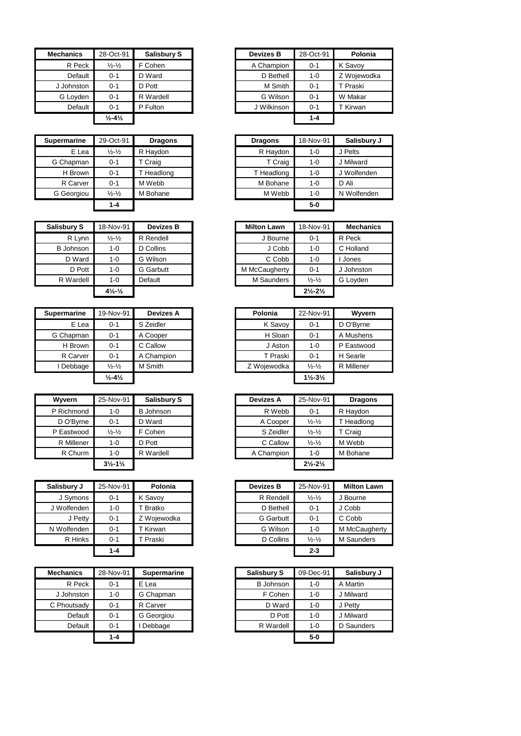| <b>Mechanics</b> | 28-Oct-91                    | <b>Salisbury S</b> | <b>Devizes B</b> | 28-Oct-91 |
|------------------|------------------------------|--------------------|------------------|-----------|
| R Peck           | $\frac{1}{2} - \frac{1}{2}$  | F Cohen            | A Champion       | $0 - 1$   |
| Default          | $0 - 1$                      | D Ward             | D Bethell        | $1 - 0$   |
| J Johnston       | $0 - 1$                      | D Pott             | M Smith          | $0 - 1$   |
| G Loyden         | $0 - 1$                      | R Wardell          | G Wilson         | $0 - 1$   |
| Default          | $0 - 1$                      | P Fulton           | J Wilkinson      | $0 - 1$   |
|                  | $\frac{1}{2} - 4\frac{1}{2}$ |                    |                  | $1 - 4$   |

| <b>Supermarine</b> | 29-Oct-91                   | <b>Dragons</b> |
|--------------------|-----------------------------|----------------|
| E Lea              | $\frac{1}{2} - \frac{1}{2}$ | R Haydon       |
| G Chapman          | $0 - 1$                     | T Craig        |
| H Brown            | $0 - 1$                     | T Headlong     |
| R Carver           | $0 - 1$                     | M Webb         |
| G Georgiou         | $\frac{1}{2} - \frac{1}{2}$ | M Bohane       |
|                    | $1 - 4$                     |                |

| <b>Salisbury S</b> | 18-Nov-91                                   | <b>Devizes B</b> |
|--------------------|---------------------------------------------|------------------|
| R Lynn             | $\frac{1}{2} - \frac{1}{2}$                 | R Rendell        |
| B Johnson          | 1-0                                         | D Collins        |
| D Ward             | $1 - 0$                                     | G Wilson         |
| D Pott             | $1 - 0$                                     | G Garbutt        |
| R Wardell          | $1 - 0$                                     | Default          |
|                    | $4\frac{1}{2}$ <sup>-1</sup> / <sub>2</sub> |                  |

| <b>Supermarine</b> | 19-Nov-91                    | <b>Devizes A</b> |
|--------------------|------------------------------|------------------|
| E Lea              | $0 - 1$                      | S Zeidler        |
| G Chapman          | $0 - 1$                      | A Cooper         |
| H Brown            | $0 - 1$                      | C Callow         |
| R Carver           | $0 - 1$                      | A Champion       |
| Debbage            | $\frac{1}{2} - \frac{1}{2}$  | M Smith          |
|                    | $\frac{1}{2} - 4\frac{1}{2}$ |                  |

| Wyvern     | 25-Nov-91                     | Salisbury S      | <b>Devizes A</b> | 25-Nov-91                     | Drago     |
|------------|-------------------------------|------------------|------------------|-------------------------------|-----------|
| P Richmond | 1-0                           | <b>B</b> Johnson | R Webb           | $0 - 1$                       | R Haydon  |
| D O'Byrne  | $0 - 1$                       | D Ward           | A Cooper         | $\frac{1}{2} - \frac{1}{2}$   | T Headlor |
| P Eastwood | $\frac{1}{2} - \frac{1}{2}$   | F Cohen          | S Zeidler        | $\frac{1}{2} - \frac{1}{2}$   | T Craig   |
| R Millener | $1 - 0$                       | D Pott           | C Callow         | $\frac{1}{2} - \frac{1}{2}$   | M Webb    |
| R Churm    | $1 - 0$                       | R Wardell        | A Champion       | $1 - 0$                       | M Bohane  |
|            | $3\frac{1}{2} - 1\frac{1}{2}$ |                  |                  | $2\frac{1}{2} - 2\frac{1}{2}$ |           |

| Salisbury J | 25-Nov-91 | Polonia       | <b>Devizes B</b> | 25-Nov-91                   | Milton   |
|-------------|-----------|---------------|------------------|-----------------------------|----------|
| J Symons    | $0 - 1$   | K Savoy       | R Rendell        | $\frac{1}{2} - \frac{1}{2}$ | J Bourne |
| J Wolfenden | $1 - 0$   | Bratko        | D Bethell        | $0 - 1$                     | J Cobb   |
| J Petty     | $0 - 1$   | Z Woiewodka   | G Garbutt        | $0 - 1$                     | C Cobb   |
| N Wolfenden | $0 - 1$   | <b>Kirwan</b> | G Wilson         | $1 - 0$                     | M McCa   |
| R Hinks     | $0 - 1$   | Praski        | D Collins        | $\frac{1}{2} - \frac{1}{2}$ | M Saund  |
|             | $1 - 4$   |               |                  | $2 - 3$                     |          |

| <b>Mechanics</b> | 28-Nov-91 | <b>Supermarine</b> | <b>Salisbury S</b> | 09-Dec-91 | <b>Salisby</b> |
|------------------|-----------|--------------------|--------------------|-----------|----------------|
| R Peck           | $0 - 1$   | E Lea              | <b>B</b> Johnson   | $1 - 0$   | A Martin       |
| J Johnston       | $1-0$     | G Chapman          | F Cohen            | $1 - 0$   | J Milward      |
| C Phoutsady      | $0 - 1$   | R Carver           | D Ward             | $1 - 0$   | J Petty        |
| Default          | $0 - 1$   | G Georgiou         | D Pott             | $1 - 0$   | J Milward      |
| Default          | $0 - 1$   | Debbage            | R Wardell          | $1 - 0$   | D Saunde       |
|                  | $1 - 4$   |                    |                    | $5-0$     |                |

| anics   | 28-Oct-91                    | <b>Salisbury S</b> | <b>Devizes B</b> | 28-Oct-91 | Polonia     |
|---------|------------------------------|--------------------|------------------|-----------|-------------|
| R Peck  | $\frac{1}{2} - \frac{1}{2}$  | F Cohen            | A Champion       | $0 - 1$   | K Savoy     |
| Default | $0 - 1$                      | D Ward             | D Bethell        | $1 - 0$   | Z Wojewodka |
| bhnston | $0 - 1$                      | D Pott             | M Smith          | $0 - 1$   | T Praski    |
| Loyden  | $0 - 1$                      | R Wardell          | G Wilson         | $0 - 1$   | W Makar     |
| Default | $0 - 1$                      | P Fulton           | J Wilkinson      | $0 - 1$   | T Kirwan    |
|         | $\frac{1}{2} - 4\frac{1}{2}$ |                    |                  | $1 - 4$   |             |

| 29-Oct-91                   | <b>Dragons</b> | <b>Dragons</b> | 18-Nov-91 | Salisbury J |
|-----------------------------|----------------|----------------|-----------|-------------|
| $\frac{1}{2} - \frac{1}{2}$ | R Haydon       | R Haydon       | $1 - 0$   | J Pelts     |
| $0 - 1$                     | T Craig        | T Craig        | $1 - 0$   | J Milward   |
| $0 - 1$                     | T Headlong     | T Headlong     | $1 - 0$   | J Wolfenden |
| $0 - 1$                     | M Webb         | M Bohane       | $1 - 0$   | D Ali       |
| $\frac{1}{2} - \frac{1}{2}$ | M Bohane       | M Webb         | $1 - 0$   | N Wolfenden |
| $1 - 4$                     |                |                | $5-0$     |             |
|                             |                |                |           |             |

| urv S   | 18-Nov-91                    | <b>Devizes B</b> | <b>Milton Lawn</b> | 18-Nov-91                     | <b>Mechanics</b> |
|---------|------------------------------|------------------|--------------------|-------------------------------|------------------|
| R Lynn  | $\frac{1}{2} - \frac{1}{2}$  | R Rendell        | J Bourne           | $0 - 1$                       | R Peck           |
| ohnson  | $1 - 0$                      | D Collins        | J Cobb             | $1 - 0$                       | C Holland        |
| Ward    | $1 - 0$                      | G Wilson         | C Cobb             | $1 - 0$                       | I Jones          |
| D Pott  | $1 - 0$                      | <b>G</b> Garbutt | M McCaugherty      | $0 - 1$                       | J Johnston       |
| Wardell | $1 - 0$                      | Default          | <b>M</b> Saunders  | $\frac{1}{2} - \frac{1}{2}$   | G Loyden         |
|         | $4\frac{1}{2}$ $\frac{1}{2}$ |                  |                    | $2\frac{1}{2} - 2\frac{1}{2}$ |                  |

| marine   | 19-Nov-91                    | <b>Devizes A</b> | Polonia     | 22-Nov-91                     | Wyvern     |
|----------|------------------------------|------------------|-------------|-------------------------------|------------|
| E Lea    | $0 - 1$                      | S Zeidler        | K Savoy     | $0 - 1$                       | D O'Byrne  |
| hapman:  | $0 - 1$                      | A Cooper         | H Sloan     | $0 - 1$                       | A Mushens  |
| H Brown  | $0 - 1$                      | C Callow         | J Aston     | $1 - 0$                       | P Eastwood |
| R Carver | $0 - 1$                      | A Champion       | T Praski    | $0 - 1$                       | H Searle   |
| Debbage  | $\frac{1}{2} - \frac{1}{2}$  | M Smith          | Z Wojewodka | $\frac{1}{2} - \frac{1}{2}$   | R Millener |
|          | $\frac{1}{2} - 4\frac{1}{2}$ |                  |             | $1\frac{1}{2} - 3\frac{1}{2}$ |            |

| Wyvern     | 25-Nov-91                     | <b>Salisbury S</b> | Devizes A  | 25-Nov-91                     | <b>Dragons</b> |
|------------|-------------------------------|--------------------|------------|-------------------------------|----------------|
| P Richmond | $1 - 0$                       | <b>B</b> Johnson   | R Webb     | $0 - 1$                       | R Haydon       |
| D O'Byrne  | $0 - 1$                       | D Ward             | A Cooper   | $\frac{1}{2} - \frac{1}{2}$   | T Headlong     |
| P Eastwood | $\frac{1}{2} - \frac{1}{2}$   | F Cohen            | S Zeidler  | $\frac{1}{2} - \frac{1}{2}$   | T Craig        |
| R Millener | $1 - 0$                       | D Pott             | C Callow   | $\frac{1}{2} - \frac{1}{2}$   | M Webb         |
| R Churm    | $1 - 0$                       | R Wardell          | A Champion | $1 - 0$                       | M Bohane       |
|            | $3\frac{1}{2} - 1\frac{1}{2}$ |                    |            | $2\frac{1}{2} - 2\frac{1}{2}$ |                |

| Salisbury J | 25-Nov-91 | Polonia     | <b>Devizes B</b> | 25-Nov-91                   | <b>Milton Lawn</b> |
|-------------|-----------|-------------|------------------|-----------------------------|--------------------|
| J Symons    | $0 - 1$   | K Savoy     | R Rendell        | $\frac{1}{2} - \frac{1}{2}$ | J Bourne           |
| J Wolfenden | 1-0       | T Bratko    | D Bethell        | $0 - 1$                     | J Cobb             |
| J Petty     | $0 - 1$   | Z Wojewodka | G Garbutt        | $0 - 1$                     | C Cobb             |
| N Wolfenden | $0 - 1$   | T Kirwan    | G Wilson         | $1 - 0$                     | M McCaugherty      |
| R Hinks     | $0 - 1$   | T Praski    | D Collins        | $\frac{1}{2} - \frac{1}{2}$ | M Saunders         |
|             | $1 - 4$   |             |                  | $2 - 3$                     |                    |

| Mechanics   | 28-Nov-91 | <b>Supermarine</b> | Salisbury S      | 09-Dec-91 | Salisbury J |
|-------------|-----------|--------------------|------------------|-----------|-------------|
| R Peck      | $0 - 1$   | E Lea              | <b>B</b> Johnson | $1 - 0$   | A Martin    |
| J Johnston  | 1-0       | G Chapman          | F Cohen          | $1 - 0$   | J Milward   |
| C Phoutsady | $0 - 1$   | R Carver           | D Ward           | 1-0       | J Petty     |
| Default     | $0 - 1$   | G Georgiou         | D Pott           | $1 - 0$   | J Milward   |
| Default     | $0 - 1$   | Debbage            | R Wardell        | $1 - 0$   | D Saunders  |
|             | 1-4       |                    |                  | $5-0$     |             |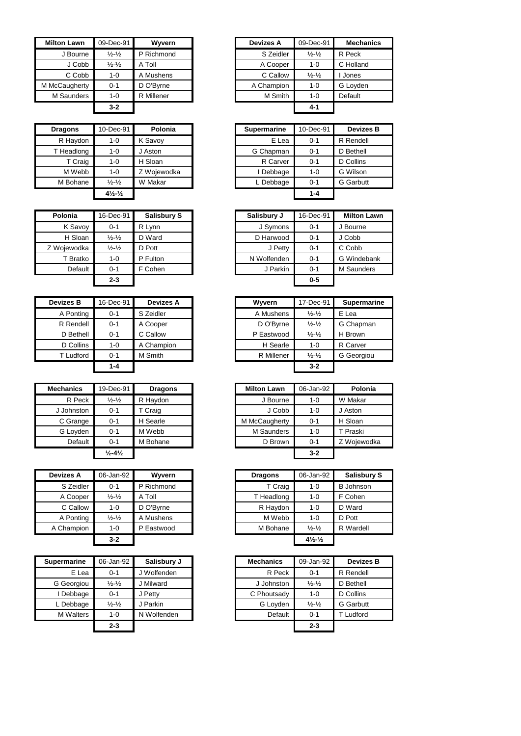| <b>Milton Lawn</b> | 09-Dec-91                   | Wyvern     | <b>Devizes A</b> | 09-Dec-91                   |
|--------------------|-----------------------------|------------|------------------|-----------------------------|
| J Bourne           | $\frac{1}{2} - \frac{1}{2}$ | P Richmond | S Zeidler        | $\frac{1}{2} - \frac{1}{2}$ |
| J Cobb             | $\frac{1}{2} - \frac{1}{2}$ | A Toll     | A Cooper         | $1 - 0$                     |
| C Cobb             | 1-0                         | A Mushens  | C Callow         | $\frac{1}{2} - \frac{1}{2}$ |
| M McCaugherty      | $0 - 1$                     | D O'Byrne  | A Champion       | $1 - 0$                     |
| M Saunders         | 1-0                         | R Millener | M Smith          | $1 - 0$                     |
|                    | $3 - 2$                     |            |                  | $4 - 1$                     |

| <b>Dragons</b> | 10-Dec-91                                  | Polonia     | <b>Supermarine</b> | 10-Dec-91 | Deviz     |
|----------------|--------------------------------------------|-------------|--------------------|-----------|-----------|
| R Haydon       | $1 - 0$                                    | K Savoy     | E Lea              | $0 - 1$   | R Rende   |
| T Headlong     | $1 - 0$                                    | J Aston     | G Chapman          | $0 - 1$   | D Bethell |
| T Craig        | $1 - 0$                                    | H Sloan     | R Carver           | $0 - 1$   | D Collins |
| M Webb         | $1 - 0$                                    | Z Wojewodka | Debbage            | $1 - 0$   | G Wilson  |
| M Bohane       | $\frac{1}{2} - \frac{1}{2}$                | W Makar     | L Debbage          | $0 - 1$   | G Garbut  |
|                | $4\frac{1}{2}$ <sup>1</sup> / <sub>2</sub> |             |                    | $1 - 4$   |           |

| Polonia     | 16-Dec-91                   | <b>Salisbury S</b> | Salisbury J | 16-Dec-91 | Miltor  |
|-------------|-----------------------------|--------------------|-------------|-----------|---------|
| K Savoy     | $0 - 1$                     | R Lynn             | J Symons    | $0 - 1$   | J Bourr |
| H Sloan     | $\frac{1}{2} - \frac{1}{2}$ | D Ward             | D Harwood   | $0 - 1$   | J Cobb  |
| Z Woiewodka | $\frac{1}{2} - \frac{1}{2}$ | D Pott             | J Petty     | $0 - 1$   | C Cobb  |
| T Bratko    | $1 - 0$                     | P Fulton           | N Wolfenden | $0 - 1$   | G Wind  |
| Default     | $0 - 1$                     | F Cohen            | J Parkin    | $0 - 1$   | M Saur  |
|             | $2 - 3$                     |                    |             | $0 - 5$   |         |

| <b>Devizes B</b> | 16-Dec-91 | <b>Devizes A</b> | Wyvern     | 17-Dec-91                   | Supern   |
|------------------|-----------|------------------|------------|-----------------------------|----------|
| A Ponting        | $0 - 1$   | S Zeidler        | A Mushens  | $\frac{1}{2} - \frac{1}{2}$ | E Lea    |
| R Rendell        | $0 - 1$   | A Cooper         | D O'Byrne  | $\frac{1}{2} - \frac{1}{2}$ | G Chapn  |
| D Bethell        | $0 - 1$   | C Callow         | P Eastwood | $\frac{1}{2} - \frac{1}{2}$ | H Brown  |
| D Collins        | $1 - 0$   | A Champion       | H Searle   | $1 - 0$                     | R Carver |
| T Ludford        | $0 - 1$   | M Smith          | R Millener | $\frac{1}{2} - \frac{1}{2}$ | G Georg  |
|                  | $1 - 4$   |                  |            | $3 - 2$                     |          |

| <b>Mechanics</b> | 19-Dec-91                    | <b>Dragons</b> | <b>Milton Lawn</b> | 06-Jan-92 | Polonia    |
|------------------|------------------------------|----------------|--------------------|-----------|------------|
| R Peck           | $\frac{1}{2} - \frac{1}{2}$  | R Haydon       | J Bourne           | $1 - 0$   | W Makar    |
| J Johnston       | $0 - 1$                      | T Craig        | J Cobb             | $1 - 0$   | J Aston    |
| C Grange         | $0 - 1$                      | H Searle       | M McCaugherty      | $0 - 1$   | H Sloan    |
| G Loyden         | $O - 1$                      | M Webb         | M Saunders         | 1-0       | T Praski   |
| Default          | $0 - 1$                      | M Bohane       | D Brown            | $0 - 1$   | Z Woiewodł |
|                  | $\frac{1}{2} - 4\frac{1}{2}$ |                |                    | $3 - 2$   |            |

| <b>Devizes A</b> | 06-Jan-92                     | Wyvern     | <b>Dragons</b> | 06-Jan-92                                   | Salisbu          |
|------------------|-------------------------------|------------|----------------|---------------------------------------------|------------------|
| S Zeidler        | $0 - 1$                       | P Richmond | T Craig        | $1 - 0$                                     | <b>B</b> Johnsor |
| A Cooper         | $\frac{1}{2}$ - $\frac{1}{2}$ | A Toll     | T Headlong     | $1 - 0$                                     | F Cohen          |
| C Callow         | 1-0                           | D O'Byrne  | R Haydon       | $1 - 0$                                     | D Ward           |
| A Ponting        | $\frac{1}{2} - \frac{1}{2}$   | A Mushens  | M Webb         | $1 - 0$                                     | D Pott           |
| A Champion       | 1-0                           | P Eastwood | M Bohane       | $\frac{1}{2} - \frac{1}{2}$                 | R Wardell        |
|                  | $3 - 2$                       |            |                | $4\frac{1}{2}$ <sup>-1</sup> / <sub>2</sub> |                  |

| <b>Supermarine</b> | 06-Jan-92                   | Salisbury J | <b>Mechanics</b> | 09-Jan-92                   |
|--------------------|-----------------------------|-------------|------------------|-----------------------------|
| E Lea              | $0 - 1$                     | J Wolfenden | R Peck           | $0 - 1$                     |
| G Georgiou         | $\frac{1}{2} - \frac{1}{2}$ | J Milward   | J Johnston       | $\frac{1}{2} - \frac{1}{2}$ |
| Debbage            | $0 - 1$                     | J Petty     | C Phoutsady      | $1 - 0$                     |
| L Debbage          | $\frac{1}{2} - \frac{1}{2}$ | J Parkin    | G Loyden         | $\frac{1}{2} - \frac{1}{2}$ |
| <b>M</b> Walters   | 1-0                         | N Wolfenden | Default          | $0 - 1$                     |
|                    | $2 - 3$                     |             |                  | $2 - 3$                     |
|                    |                             |             |                  |                             |

| Lawn    | 09-Dec-91                   | Wyvern     | <b>Devizes A</b> | 09-Dec-91                   | <b>Mechanics</b> |
|---------|-----------------------------|------------|------------------|-----------------------------|------------------|
| Bourne  | $\frac{1}{2} - \frac{1}{2}$ | P Richmond | S Zeidler        | $\frac{1}{2} - \frac{1}{2}$ | R Peck           |
| J Cobb  | $\frac{1}{2} - \frac{1}{2}$ | A Toll     | A Cooper         | $1 - 0$                     | C Holland        |
| C Cobb  | $1 - 0$                     | A Mushens  | C Callow         | $\frac{1}{2} - \frac{1}{2}$ | I Jones          |
| ugherty | $0 - 1$                     | D O'Byrne  | A Champion       | $1 - 0$                     | G Loyden         |
| aunders | $1 - 0$                     | R Millener | M Smith          | $1 - 0$                     | Default          |
|         | $3 - 2$                     |            |                  | $4 - 1$                     |                  |

| <b>Dragons</b> | 10-Dec-91                                   | Polonia     | <b>Supermarine</b> | 10-Dec-91 | <b>Devizes B</b> |
|----------------|---------------------------------------------|-------------|--------------------|-----------|------------------|
| R Haydon       | 1-0                                         | K Savov     | E Lea              | $0 - 1$   | R Rendell        |
| T Headlong     | 1-0                                         | J Aston     | G Chapman          | $0 - 1$   | D Bethell        |
| T Craig        | 1-0                                         | H Sloan     | R Carver           | $0 - 1$   | D Collins        |
| M Webb         | 1-0                                         | Z Wojewodka | I Debbage          | $1 - 0$   | G Wilson         |
| M Bohane       | $\frac{1}{2} - \frac{1}{2}$                 | W Makar     | L Debbage          | $0 - 1$   | <b>G</b> Garbutt |
|                | $4\frac{1}{2}$ <sup>-1</sup> / <sub>2</sub> |             |                    | $1 - 4$   |                  |

| Polonia   | 16-Dec-91                   | <b>Salisbury S</b> |
|-----------|-----------------------------|--------------------|
| K Savoy   | $0 - 1$                     | R Lynn             |
| H Sloan   | $\frac{1}{2} - \frac{1}{2}$ | D Ward             |
| Wojewodka | $\frac{1}{2} - \frac{1}{2}$ | D Pott             |
| T Bratko  | $1 - 0$                     | P Fulton           |
| Default   | $0 - 1$                     | F Cohen            |
|           | $2 - 3$                     |                    |

| Devizes B | 16-Dec-91 | <b>Devizes A</b> | Wyvern     | 17-Dec-91                   | <b>Supermarine</b> |
|-----------|-----------|------------------|------------|-----------------------------|--------------------|
| A Ponting | $0 - 1$   | S Zeidler        | A Mushens  | $\frac{1}{2} - \frac{1}{2}$ | E Lea              |
| R Rendell | $0 - 1$   | A Cooper         | D O'Byrne  | $\frac{1}{2} - \frac{1}{2}$ | G Chapman          |
| D Bethell | $0 - 1$   | C Callow         | P Eastwood | $\frac{1}{2} - \frac{1}{2}$ | H Brown            |
| D Collins | $1 - 0$   | A Champion       | H Searle   | $1 - 0$                     | R Carver           |
| T Ludford | $0 - 1$   | M Smith          | R Millener | $\frac{1}{2} - \frac{1}{2}$ | G Georgiou         |
|           | $1 - 4$   |                  |            | $3 - 2$                     |                    |

| anics   | 19-Dec-91                    | <b>Dragons</b> | <b>Milton Lawn</b> | 06-Jan-92 | Polonia     |
|---------|------------------------------|----------------|--------------------|-----------|-------------|
| R Peck  | $\frac{1}{2} - \frac{1}{2}$  | R Haydon       | J Bourne           | $1 - 0$   | W Makar     |
| bhnston | $0 - 1$                      | T Craig        | J Cobb             | $1 - 0$   | J Aston     |
| Grange  | $0 - 1$                      | H Searle       | M McCaugherty      | $0 - 1$   | H Sloan     |
| Loyden  | $0 - 1$                      | M Webb         | <b>M</b> Saunders  | $1 - 0$   | T Praski    |
| Default | $0 - 1$                      | M Bohane       | D Brown            | $0 - 1$   | Z Woiewodka |
|         | $\frac{1}{2} - 4\frac{1}{2}$ |                |                    | $3 - 2$   |             |

| Devizes A  | 06-Jan-92                   | <b>Wyvern</b> | <b>Dragons</b> | 06-Jan-92                      | <b>Salisbury S</b> |
|------------|-----------------------------|---------------|----------------|--------------------------------|--------------------|
| S Zeidler  | $0 - 1$                     | P Richmond    | T Craig        | $1 - 0$                        | <b>B</b> Johnson   |
| A Cooper   | $\frac{1}{2} - \frac{1}{2}$ | A Toll        | T Headlong     | $1 - 0$                        | F Cohen            |
| C Callow   | $1 - 0$                     | D O'Byrne     | R Haydon       | $1 - 0$                        | D Ward             |
| A Ponting  | $\frac{1}{2} - \frac{1}{2}$ | A Mushens     | M Webb         | $1 - 0$                        | D Pott             |
| A Champion | $1 - 0$                     | P Eastwood    | M Bohane       | $\frac{1}{2} - \frac{1}{2}$    | R Wardell          |
|            | $3 - 2$                     |               |                | $4\frac{1}{2}$ - $\frac{1}{2}$ |                    |

| arine   | 06-Jan-92                   | Salisbury J | <b>Mechanics</b> | 09-Jan-92                   | <b>Devizes B</b> |
|---------|-----------------------------|-------------|------------------|-----------------------------|------------------|
| E Lea   | $0 - 1$                     | J Wolfenden | R Peck           | $0 - 1$                     | R Rendell        |
| praiou  | $\frac{1}{2} - \frac{1}{2}$ | J Milward   | J Johnston       | $\frac{1}{2} - \frac{1}{2}$ | D Bethell        |
| obage   | $0 - 1$                     | J Petty     | C Phoutsady      | $1 - 0$                     | D Collins        |
| obage   | $\frac{1}{2} - \frac{1}{2}$ | J Parkin    | G Loyden         | $\frac{1}{2} - \frac{1}{2}$ | <b>G</b> Garbutt |
| 'alters | 1-0                         | N Wolfenden | Default          | $0 - 1$                     | T Ludford        |
|         | $2 - 3$                     |             |                  | $2 - 3$                     |                  |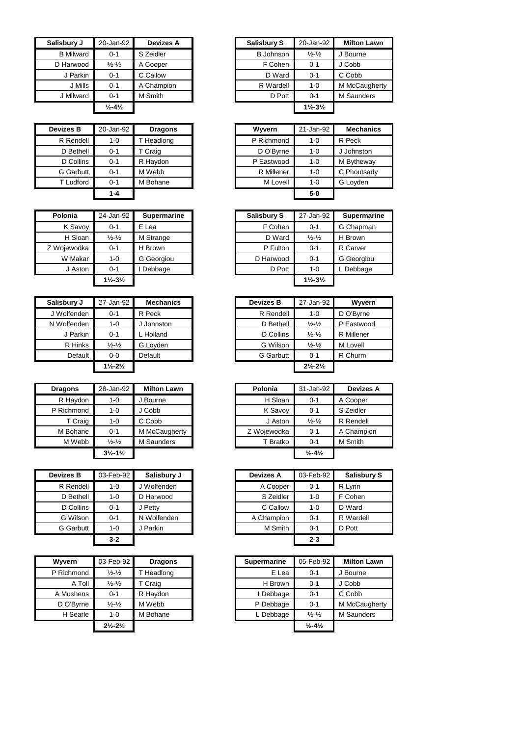| Salisbury J      | 20-Jan-92                    | <b>Devizes A</b> | <b>Salisbury S</b> | 20-Jan-92                     | Milton   |
|------------------|------------------------------|------------------|--------------------|-------------------------------|----------|
| <b>B</b> Milward | $0 - 1$                      | S Zeidler        | B Johnson          | $\frac{1}{2} - \frac{1}{2}$   | J Bourne |
| D Harwood        | $\frac{1}{2} - \frac{1}{2}$  | A Cooper         | F Cohen            | $0 - 1$                       | J Cobb   |
| J Parkin         | $0 - 1$                      | C Callow         | D Ward             | $0 - 1$                       | C Cobb   |
| J Mills          | $0 - 1$                      | A Champion       | R Wardell          | $1 - 0$                       | M McCa   |
| J Milward        | $0 - 1$                      | M Smith          | D Pott             | $0 - 1$                       | M Saund  |
|                  | $\frac{1}{2} - 4\frac{1}{2}$ |                  |                    | $1\frac{1}{2} - 3\frac{1}{2}$ |          |

| <b>Devizes B</b> | 20-Jan-92 | <b>Dragons</b> | <b>Wyvern</b> | 21-Jan-92 |         |
|------------------|-----------|----------------|---------------|-----------|---------|
| R Rendell        | $1 - 0$   | T Headlong     | P Richmond    | $1 - 0$   | R Peck  |
| D Bethell        | $0 - 1$   | T Craig        | D O'Byrne     | $1 - 0$   | J Johns |
| D Collins        | $0 - 1$   | R Haydon       | P Eastwood    | $1 - 0$   | M Byth  |
| G Garbutt        | $0 - 1$   | M Webb         | R Millener    | $1 - 0$   | C Phou  |
| T Ludford        | $0 - 1$   | M Bohane       | M Lovell      | $1 - 0$   | G Loyd  |
|                  | $1 - 4$   |                |               | $5 - 0$   |         |

| Polonia     | 24-Jan-92                     | <b>Supermarine</b> | <b>Salisbury S</b> | 27-Jan-92                     | <b>Supern</b> |
|-------------|-------------------------------|--------------------|--------------------|-------------------------------|---------------|
| K Savoy     | $0 - 1$                       | E Lea              | F Cohen            | $0 - 1$                       | G Chapn       |
| H Sloan     | $\frac{1}{2} - \frac{1}{2}$   | M Strange          | D Ward             | $\frac{1}{2} - \frac{1}{2}$   | H Brown       |
| Z Wojewodka | $0 - 1$                       | H Brown            | P Fulton           | $0 - 1$                       | R Carver      |
| W Makar     | $1 - 0$                       | G Georgiou         | D Harwood          | $0 - 1$                       | G Georg       |
| J Aston     | $0 - 1$                       | Debbage            | D Pott             | $1 - 0$                       | L Debba       |
|             | $1\frac{1}{2} - 3\frac{1}{2}$ |                    |                    | $1\frac{1}{2} - 3\frac{1}{2}$ |               |

| Salisbury J | 27-Jan-92                     | <b>Mechanics</b> | <b>Devizes B</b> | 27-Jan-92                     |
|-------------|-------------------------------|------------------|------------------|-------------------------------|
| J Wolfenden | $0 - 1$                       | R Peck           | R Rendell        | $1 - 0$                       |
| N Wolfenden | 1-0                           | J Johnston       | D Bethell        | $\frac{1}{2} - \frac{1}{2}$   |
| J Parkin    | $0 - 1$                       | Holland          | D Collins        | $\frac{1}{2} - \frac{1}{2}$   |
| R Hinks     | $\frac{1}{2} - \frac{1}{2}$   | G Loyden         | G Wilson         | $\frac{1}{2} - \frac{1}{2}$   |
| Default     | $0-0$                         | Default          | <b>G</b> Garbutt | $0 - 1$                       |
|             | $1\frac{1}{2} - 2\frac{1}{2}$ |                  |                  | $2\frac{1}{2} - 2\frac{1}{2}$ |

| <b>Dragons</b> | 28-Jan-92                     | <b>Milton Lawn</b> | Polonia     | 31-Jan-92                    | Devize    |
|----------------|-------------------------------|--------------------|-------------|------------------------------|-----------|
| R Haydon       | 1-0                           | J Bourne           | H Sloan     | $0 - 1$                      | A Cooper  |
| P Richmond     | 1-0                           | J Cobb             | K Savoy     | $0 - 1$                      | S Zeidler |
| T Craig        | $1 - 0$                       | C Cobb             | J Aston     | $\frac{1}{2} - \frac{1}{2}$  | R Rendel  |
| M Bohane       | $0 - 1$                       | M McCaugherty      | Z Wojewodka | $0 - 1$                      | A Champ   |
| M Webb         | $\frac{1}{2} - \frac{1}{2}$   | M Saunders         | T Bratko    | $0 - 1$                      | M Smith   |
|                | $3\frac{1}{2} - 1\frac{1}{2}$ |                    |             | $\frac{1}{2} - 4\frac{1}{2}$ |           |

| <b>Devizes B</b> | 03-Feb-92 | Salisbury J | <b>Devizes A</b> | 03-Feb-92 | <b>Salish</b> |
|------------------|-----------|-------------|------------------|-----------|---------------|
| R Rendell        | 1-0       | J Wolfenden | A Cooper         | $0 - 1$   | R Lynn        |
| D Bethell        | $1 - 0$   | D Harwood   | S Zeidler        | $1 - 0$   | F Cohen       |
| D Collins        | $0 - 1$   | J Petty     | C Callow         | $1 - 0$   | D Ward        |
| G Wilson         | $0 - 1$   | N Wolfenden | A Champion       | $0 - 1$   | R Warde       |
| G Garbutt        | $1 - 0$   | J Parkin    | M Smith          | $0 - 1$   | D Pott        |
|                  | $3 - 2$   |             |                  | $2 - 3$   |               |

| <b>Wyvern</b> | 03-Feb-92                     | <b>Dragons</b> | <b>Supermarine</b> | 05-Feb-92                    | Milton   |
|---------------|-------------------------------|----------------|--------------------|------------------------------|----------|
| P Richmond    | $\frac{1}{2} - \frac{1}{2}$   | T Headlong     | E Lea              | $0 - 1$                      | J Bourne |
| A Toll        | $\frac{1}{2} - \frac{1}{2}$   | T Craig        | H Brown            | $0 - 1$                      | J Cobb   |
| A Mushens     | $0 - 1$                       | R Haydon       | I Debbage          | $0 - 1$                      | C Cobb   |
| D O'Byrne     | $\frac{1}{2} - \frac{1}{2}$   | M Webb         | P Debbage          | $0 - 1$                      | M McCa   |
| H Searle      | $1 - 0$                       | M Bohane       | L Debbage          | $\frac{1}{2} - \frac{1}{2}$  | M Saund  |
|               | $2\frac{1}{2} - 2\frac{1}{2}$ |                |                    | $\frac{1}{2} - 4\frac{1}{2}$ |          |
|               |                               |                |                    |                              |          |

| Salisbury J      | 20-Jan-92                    | <b>Devizes A</b> | <b>Salisbury S</b> | 20-Jan-92                     | <b>Milton Lawn</b> |
|------------------|------------------------------|------------------|--------------------|-------------------------------|--------------------|
| <b>B</b> Milward | $0 - 1$                      | S Zeidler        | <b>B</b> Johnson   | $\frac{1}{2} - \frac{1}{2}$   | Bourne             |
| D Harwood        | $\frac{1}{2} - \frac{1}{2}$  | A Cooper         | F Cohen            | $0 - 1$                       | J Cobb             |
| J Parkin         | $0 - 1$                      | C Callow         | D Ward             | $0 - 1$                       | C Cobb             |
| J Mills          | $0 - 1$                      | A Champion       | R Wardell          | $1 - 0$                       | M McCaugherty      |
| J Milward        | $0 - 1$                      | M Smith          | D Pott             | $0 - 1$                       | M Saunders         |
|                  | $\frac{1}{2} - 4\frac{1}{2}$ |                  |                    | $1\frac{1}{2} - 3\frac{1}{2}$ |                    |

| Devizes B | 20-Jan-92 | <b>Dragons</b> |
|-----------|-----------|----------------|
| R Rendell | $1 - 0$   | T Headlong     |
| D Bethell | $0 - 1$   | T Craig        |
| D Collins | $0 - 1$   | R Haydon       |
| G Garbutt | $0 - 1$   | M Webb         |
| T Ludford | $0 - 1$   | M Bohane       |
|           | $1 - 4$   |                |

| Polonia   | 24-Jan-92                     | <b>Supermarine</b> | <b>Salisbury S</b> | 27-Jan-92                     | <b>Supermarine</b> |
|-----------|-------------------------------|--------------------|--------------------|-------------------------------|--------------------|
| K Savoy   | $0 - 1$                       | E Lea              | F Cohen            | $0 - 1$                       | G Chapman          |
| H Sloan   | $\frac{1}{2} - \frac{1}{2}$   | M Strange          | D Ward             | $\frac{1}{2} - \frac{1}{2}$   | H Brown            |
| Wojewodka | $0 - 1$                       | H Brown            | P Fulton           | $0 - 1$                       | R Carver           |
| W Makar   | $1 - 0$                       | G Georgiou         | D Harwood          | $0 - 1$                       | G Georgiou         |
| J Aston   | $0 - 1$                       | Debbage            | D Pott             | $1 - 0$                       | Debbage            |
|           | $1\frac{1}{2} - 3\frac{1}{2}$ |                    |                    | $1\frac{1}{2} - 3\frac{1}{2}$ |                    |
|           |                               |                    |                    |                               |                    |

| oury J   | 27-Jan-92                     | <b>Mechanics</b> | <b>Devizes B</b> | 27-Jan-92                     | Wyvern     |
|----------|-------------------------------|------------------|------------------|-------------------------------|------------|
| olfenden | $0 - 1$                       | R Peck           | R Rendell        | $1 - 0$                       | D O'Byrne  |
| blfenden | 1-0                           | J Johnston       | D Bethell        | $\frac{1}{2} - \frac{1}{2}$   | P Eastwood |
| J Parkin | $0 - 1$                       | L Holland        | D Collins        | $\frac{1}{2} - \frac{1}{2}$   | R Millener |
| R Hinks  | $\frac{1}{2} - \frac{1}{2}$   | G Loyden         | G Wilson         | $\frac{1}{2} - \frac{1}{2}$   | M Lovell   |
| Default  | $0-0$                         | Default          | G Garbutt        | $0 - 1$                       | R Churm    |
|          | $1\frac{1}{2} - 2\frac{1}{2}$ |                  |                  | $2\frac{1}{2} - 2\frac{1}{2}$ |            |
|          |                               |                  |                  |                               |            |

| <b>Dragons</b> | 28-Jan-92                     | <b>Milton Lawn</b> | Polonia     | 31-Jan-92                    | <b>Devizes A</b> |
|----------------|-------------------------------|--------------------|-------------|------------------------------|------------------|
| R Haydon       | 1-0                           | J Bourne           | H Sloan     | $0 - 1$                      | A Cooper         |
| P Richmond     | 1-0                           | J Cobb             | K Savoy     | $0 - 1$                      | S Zeidler        |
| T Craig        | 1-0                           | C Cobb             | J Aston     | $\frac{1}{2} - \frac{1}{2}$  | R Rendell        |
| M Bohane       | $0 - 1$                       | M McCaugherty      | Z Wojewodka | $0 - 1$                      | A Champion       |
| M Webb         | $\frac{1}{2} - \frac{1}{2}$   | M Saunders         | T Bratko    | $0 - 1$                      | M Smith          |
|                | $3\frac{1}{2} - 1\frac{1}{2}$ |                    |             | $\frac{1}{2} - 4\frac{1}{2}$ |                  |

| Devizes B | 03-Feb-92 | Salisbury J | <b>Devizes A</b> | 03-Feb-92 | <b>Salisbury S</b> |
|-----------|-----------|-------------|------------------|-----------|--------------------|
| R Rendell | $1 - 0$   | Wolfenden   | A Cooper         | $0 - 1$   | R Lynn             |
| D Bethell | $1 - 0$   | D Harwood   | S Zeidler        | $1 - 0$   | F Cohen            |
| D Collins | $O - 1$   | Petty       | C Callow         | $1 - 0$   | D Ward             |
| G Wilson  | $0 - 1$   | N Wolfenden | A Champion       | $0 - 1$   | R Wardell          |
| G Garbutt | $1 - 0$   | Parkin      | M Smith          | $0 - 1$   | D Pott             |
|           | $3 - 2$   |             |                  | $2 - 3$   |                    |

| Wyvern     | 03-Feb-92                     | <b>Dragons</b> | <b>Supermarine</b> | 05-Feb-92                    | <b>Milton Lawn</b> |
|------------|-------------------------------|----------------|--------------------|------------------------------|--------------------|
| P Richmond | $\frac{1}{2} - \frac{1}{2}$   | T Headlong     | E Lea              | $0 - 1$                      | J Bourne           |
| A Toll     | $\frac{1}{2} - \frac{1}{2}$   | T Craig        | H Brown            | $0 - 1$                      | J Cobb             |
| A Mushens  | $0 - 1$                       | R Haydon       | Debbage            | $0 - 1$                      | C Cobb             |
| D O'Byrne  | $\frac{1}{2} - \frac{1}{2}$   | M Webb         | P Debbage          | $0 - 1$                      | M McCaugherty      |
| H Searle   | $1 - 0$                       | M Bohane       | L Debbage          | $\frac{1}{2} - \frac{1}{2}$  | M Saunders         |
|            | $2\frac{1}{2} - 2\frac{1}{2}$ |                |                    | $\frac{1}{2} - 4\frac{1}{2}$ |                    |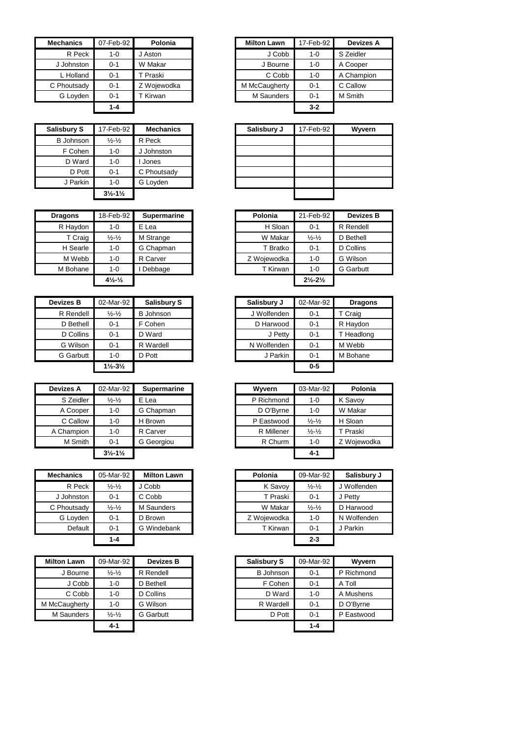| <b>Mechanics</b> | 07-Feb-92 | Polonia     | <b>Milton Lawn</b> | 17-Feb-92 | <b>Devize</b> |
|------------------|-----------|-------------|--------------------|-----------|---------------|
| R Peck           | $1 - 0$   | J Aston     | J Cobb             | $1 - 0$   | S Zeidler     |
| J Johnston       | $0 - 1$   | W Makar     | J Bourne           | $1 - 0$   | A Cooper      |
| L Holland        | $0 - 1$   | T Praski    | C Cobb             | $1 - 0$   | A Champ       |
| C Phoutsady      | $0 - 1$   | Z Woiewodka | M McCaugherty      | $0 - 1$   | C Callow      |
| G Lovden         | $0 - 1$   | Kirwan      | M Saunders         | $0 - 1$   | M Smith       |
|                  | $1 - 4$   |             |                    | $3 - 2$   |               |

| <b>Salisbury S</b> | 17-Feb-92                     | <b>Mechanics</b> |
|--------------------|-------------------------------|------------------|
| <b>B</b> Johnson   | $\frac{1}{2} - \frac{1}{2}$   | R Peck           |
| F Cohen            | 1-0                           | J Johnston       |
| D Ward             | 1-0                           | Jones            |
| D Pott             | $0 - 1$                       | C Phoutsady      |
| J Parkin           | 1-0                           | G Loyden         |
|                    | $3\frac{1}{2} - 1\frac{1}{2}$ |                  |

| <b>Dragons</b> | 18-Feb-92                                   | <b>Supermarine</b> | Polonia     | 21-Feb-92                     | <b>Devize</b>    |
|----------------|---------------------------------------------|--------------------|-------------|-------------------------------|------------------|
| R Haydon       | 1-0                                         | E Lea              | H Sloan     | $0 - 1$                       | R Rendell        |
| T Craig        | $\frac{1}{2} - \frac{1}{2}$                 | M Strange          | W Makar     | $\frac{1}{2} - \frac{1}{2}$   | D Bethell        |
| H Searle       | $1 - 0$                                     | G Chapman          | T Bratko    | $0 - 1$                       | D Collins        |
| M Webb         | $1 - 0$                                     | R Carver           | Z Wojewodka | $1 - 0$                       | G Wilson         |
| M Bohane       | $1 - 0$                                     | Debbage            | T Kirwan    | $1 - 0$                       | <b>G</b> Garbutt |
|                | $4\frac{1}{2}$ <sup>-1</sup> / <sub>2</sub> |                    |             | $2\frac{1}{2} - 2\frac{1}{2}$ |                  |

| <b>Devizes B</b> | 02-Mar-92                     | <b>Salisbury S</b> |
|------------------|-------------------------------|--------------------|
| R Rendell        | $\frac{1}{2} - \frac{1}{2}$   | <b>B</b> Johnson   |
| D Bethell        | $0 - 1$                       | F Cohen            |
| D Collins        | $0 - 1$                       | D Ward             |
| G Wilson         | $0 - 1$                       | R Wardell          |
| G Garbutt        | $1 - 0$                       | D Pott             |
|                  | $1\frac{1}{2} - 3\frac{1}{2}$ |                    |

| <b>Devizes A</b> | 02-Mar-92                     | <b>Supermarine</b> | <b>Wyvern</b> | 03-Mar-92                   | Polonia    |
|------------------|-------------------------------|--------------------|---------------|-----------------------------|------------|
| S Zeidler        | $\frac{1}{2} - \frac{1}{2}$   | E Lea              | P Richmond    | $1 - 0$                     | K Savoy    |
| A Cooper         | $1 - 0$                       | G Chapman          | D O'Byrne     | 1-0                         | W Makar    |
| C Callow         | $1 - 0$                       | H Brown            | P Eastwood    | $\frac{1}{2} - \frac{1}{2}$ | H Sloan    |
| A Champion       | $1 - 0$                       | R Carver           | R Millener    | $\frac{1}{2} - \frac{1}{2}$ | T Praski   |
| M Smith          | $0 - 1$                       | G Georgiou         | R Churm       | $1 - 0$                     | Z Wojewodł |
|                  | $3\frac{1}{2} - 1\frac{1}{2}$ |                    |               | $4 - 1$                     |            |

| <b>Mechanics</b> | 05-Mar-92                     | <b>Milton Lawn</b> | Polonia     | 09-Mar-92                   | <b>Salisbur</b> |
|------------------|-------------------------------|--------------------|-------------|-----------------------------|-----------------|
| R Peck           | $\frac{1}{2}$ - $\frac{1}{2}$ | J Cobb             | K Savoy     | $\frac{1}{2} - \frac{1}{2}$ | Wolfende        |
| J Johnston       | 0-1                           | C Cobb             | T Praski    | $0 - 1$                     | J Petty         |
| C Phoutsady      | $\frac{1}{2}$ - $\frac{1}{2}$ | M Saunders         | W Makar     | $\frac{1}{2} - \frac{1}{2}$ | D Harwood       |
| G Loyden         | $0 - 1$                       | D Brown            | Z Woiewodka | $1 - 0$                     | N Wolfende      |
| Default          | $0 - 1$                       | G Windebank        | T Kirwan    | $0 - 1$                     | J Parkin        |
|                  | 1-4                           |                    |             | $2 - 3$                     |                 |

| <b>Milton Lawn</b> | 09-Mar-92                   | <b>Devizes B</b> |
|--------------------|-----------------------------|------------------|
| J Bourne           | $\frac{1}{2} - \frac{1}{2}$ | R Rendell        |
| J Cobb             | $1 - 0$                     | D Bethell        |
| C Cobb             | $1 - 0$                     | D Collins        |
| M McCaugherty      | $1 - 0$                     | G Wilson         |
| M Saunders         | $\frac{1}{2} - \frac{1}{2}$ | <b>G</b> Garbutt |
|                    | $4 - 1$                     |                  |
|                    |                             |                  |

| <b>Mechanics</b> | 07-Feb-92 | Polonia     | <b>Milton Lawn</b> | 17-Feb-92 | <b>Devizes A</b> |
|------------------|-----------|-------------|--------------------|-----------|------------------|
| R Peck           | 1-0       | J Aston     | J Cobb             | $1 - 0$   | S Zeidler        |
| J Johnston       | $0 - 1$   | W Makar     | J Bourne           | $1 - 0$   | A Cooper         |
| L Holland        | $0 - 1$   | T Praski    | C Cobb             | $1 - 0$   | A Champion       |
| C Phoutsady      | $0 - 1$   | Z Wojewodka | M McCaugherty      | $0 - 1$   | C Callow         |
| G Loyden         | $0 - 1$   | T Kirwan    | M Saunders         | $0 - 1$   | M Smith          |
|                  | $1 - 4$   |             |                    | $3 - 2$   |                  |

| Salisbury J | 17-Feb-92 | Wyvern |
|-------------|-----------|--------|
|             |           |        |
|             |           |        |
|             |           |        |
|             |           |        |
|             |           |        |
|             |           |        |

| 18-Feb-92<br>1-0<br>$\frac{1}{2} - \frac{1}{2}$ | <b>Supermarine</b><br>E Lea | Polonia     | 21-Feb-92                     | <b>Devizes B</b> |
|-------------------------------------------------|-----------------------------|-------------|-------------------------------|------------------|
|                                                 |                             |             |                               |                  |
|                                                 |                             | H Sloan     | $0 - 1$                       | R Rendell        |
|                                                 | M Strange                   | W Makar     | $\frac{1}{2} - \frac{1}{2}$   | D Bethell        |
| $1 - 0$                                         | G Chapman                   | T Bratko    | $0 - 1$                       | D Collins        |
| 1-0                                             | R Carver                    | Z Wojewodka | $1 - 0$                       | G Wilson         |
| 1-0                                             | Debbage                     | T Kirwan    | $1 - 0$                       | <b>G</b> Garbutt |
| $4\frac{1}{2}$ <sup>-1</sup> / <sub>2</sub>     |                             |             | $2\frac{1}{2} - 2\frac{1}{2}$ |                  |
|                                                 |                             |             |                               |                  |

| izes B    | 02-Mar-92                     | <b>Salisbury S</b> | Salisbury J | 02-Mar-92 | <b>Dragons</b> |
|-----------|-------------------------------|--------------------|-------------|-----------|----------------|
| र Rendell | $\frac{1}{2} - \frac{1}{2}$   | <b>B</b> Johnson   | J Wolfenden | $0 - 1$   | T Craig        |
| D Bethell | $0 - 1$                       | F Cohen            | D Harwood   | $0 - 1$   | R Haydon       |
| D Collins | $0 - 1$                       | D Ward             | J Petty     | $0 - 1$   | T Headlong     |
| G Wilson  | $0 - 1$                       | R Wardell          | N Wolfenden | $0 - 1$   | M Webb         |
| 3 Garbutt | $1 - 0$                       | D Pott             | J Parkin    | $0 - 1$   | M Bohane       |
|           | $1\frac{1}{2} - 3\frac{1}{2}$ |                    |             | $0 - 5$   |                |

| zes A     | 02-Mar-92                     | <b>Supermarine</b> | Wyvern     | 03-Mar-92                   | Polonia     |
|-----------|-------------------------------|--------------------|------------|-----------------------------|-------------|
| 3 Zeidler | $\frac{1}{2} - \frac{1}{2}$   | E Lea              | P Richmond | $1 - 0$                     | K Savoy     |
| Cooper    | $1 - 0$                       | G Chapman          | D O'Byrne  | $1 - 0$                     | W Makar     |
| Callow    | $1 - 0$                       | H Brown            | P Eastwood | $\frac{1}{2} - \frac{1}{2}$ | H Sloan     |
| hampion   | $1 - 0$                       | R Carver           | R Millener | $\frac{1}{2} - \frac{1}{2}$ | T Praski    |
| M Smith   | $0 - 1$                       | G Georgiou         | R Churm    | $1 - 0$                     | Z Wojewodka |
|           | $3\frac{1}{2} - 1\frac{1}{2}$ |                    |            | $4 - 1$                     |             |

| Mechanics   | 05-Mar-92                   | <b>Milton Lawn</b> | Polonia     | 09-Mar-92                   | Salisbury J |
|-------------|-----------------------------|--------------------|-------------|-----------------------------|-------------|
| R Peck      | $\frac{1}{2} - \frac{1}{2}$ | Cobb               | K Savoy     | $\frac{1}{2} - \frac{1}{2}$ | J Wolfenden |
| J Johnston  | $0 - 1$                     | C Cobb             | T Praski    | $0 - 1$                     | J Petty     |
| C Phoutsady | $\frac{1}{2} - \frac{1}{2}$ | M Saunders         | W Makar     | $\frac{1}{2} - \frac{1}{2}$ | D Harwood   |
| G Loyden    | $0 - 1$                     | D Brown            | Z Woiewodka | $1 - 0$                     | N Wolfenden |
| Default     | $0 - 1$                     | G Windebank        | T Kirwan    | $0 - 1$                     | J Parkin    |
|             | $1 - 4$                     |                    |             | $2 - 3$                     |             |

| Iton Lawn          | 09-Mar-92                   | <b>Devizes B</b> |
|--------------------|-----------------------------|------------------|
| J Bourne           | $\frac{1}{2} - \frac{1}{2}$ | R Rendell        |
| J Cobb             | $1 - 0$                     | D Bethell        |
| C Cobb             | $1 - 0$                     | D Collins        |
| <b>IcCaugherty</b> | $1 - 0$                     | G Wilson         |
| M Saunders         | $\frac{1}{2} - \frac{1}{2}$ | <b>G</b> Garbutt |
|                    | 4-1                         |                  |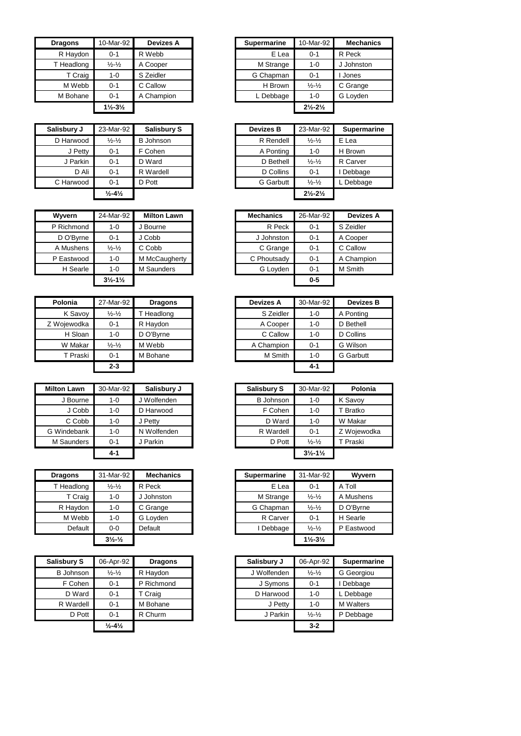| <b>Dragons</b> | 10-Mar-92                     | <b>Devizes A</b> | <b>Supermarine</b> | 10-Mar-92                     |
|----------------|-------------------------------|------------------|--------------------|-------------------------------|
| R Haydon       | $0 - 1$                       | R Webb           | E Lea              | $0 - 1$                       |
| T Headlong     | $\frac{1}{2}$ - $\frac{1}{2}$ | A Cooper         | M Strange          | $1 - 0$                       |
| T Craig        | $1 - 0$                       | S Zeidler        | G Chapman          | $0 - 1$                       |
| M Webb         | $0 - 1$                       | C Callow         | H Brown            | $\frac{1}{2} - \frac{1}{2}$   |
| M Bohane       | $0 - 1$                       | A Champion       | L Debbage          | $1 - 0$                       |
|                | $1\frac{1}{2} - 3\frac{1}{2}$ |                  |                    | $2\frac{1}{2} - 2\frac{1}{2}$ |

| Salisbury J | 23-Mar-92                    | <b>Salisbury S</b> | <b>Devizes B</b> | 23-Mar-92                     | Sup   |
|-------------|------------------------------|--------------------|------------------|-------------------------------|-------|
| D Harwood   | $\frac{1}{2} - \frac{1}{2}$  | <b>B</b> Johnson   | R Rendell        | $\frac{1}{2} - \frac{1}{2}$   | E Lea |
| J Petty     | $0 - 1$                      | F Cohen            | A Ponting        | $1 - 0$                       | H Bro |
| J Parkin    | $0 - 1$                      | D Ward             | D Bethell        | $\frac{1}{2} - \frac{1}{2}$   | R Car |
| D Ali       | $0 - 1$                      | R Wardell          | D Collins        | $0 - 1$                       | Debl  |
| C Harwood   | $0 - 1$                      | D Pott             | G Garbutt        | $\frac{1}{2} - \frac{1}{2}$   | Deb   |
|             | $\frac{1}{2} - 4\frac{1}{2}$ |                    |                  | $2\frac{1}{2} - 2\frac{1}{2}$ |       |

| <b>Wyvern</b> | 24-Mar-92                     | <b>Milton Lawn</b> | <b>Mechanics</b> | 26-Mar-92 | <b>Devize</b> |
|---------------|-------------------------------|--------------------|------------------|-----------|---------------|
| P Richmond    | $1 - 0$                       | J Bourne           | R Peck           | $0 - 1$   | S Zeidler     |
| D O'Byrne     | $0 - 1$                       | J Cobb             | J Johnston       | $0 - 1$   | A Cooper      |
| A Mushens     | $\frac{1}{2} - \frac{1}{2}$   | C Cobb             | C Grange         | $0 - 1$   | C Callow      |
| P Eastwood    | $1 - 0$                       | M McCaugherty      | C Phoutsady      | $0 - 1$   | A Champ       |
| H Searle      | $1 - 0$                       | M Saunders         | G Loyden         | $0 - 1$   | M Smith       |
|               | $3\frac{1}{2} - 1\frac{1}{2}$ |                    |                  | $0 - 5$   |               |

| Polonia     | 27-Mar-92                   | <b>Dragons</b> | <b>Devizes A</b> | 30-Mar-92 | <b>Deviz</b> |
|-------------|-----------------------------|----------------|------------------|-----------|--------------|
| K Savoy     | $\frac{1}{2} - \frac{1}{2}$ | T Headlong     | S Zeidler        | $1 - 0$   | A Pontino    |
| Z Wojewodka | $0 - 1$                     | R Haydon       | A Cooper         | $1 - 0$   | D Bethell    |
| H Sloan     | $1 - 0$                     | D O'Byrne      | C Callow         | $1 - 0$   | D Collins    |
| W Makar     | $\frac{1}{2} - \frac{1}{2}$ | M Webb         | A Champion       | $0 - 1$   | G Wilson     |
| T Praski    | $0 - 1$                     | M Bohane       | M Smith          | $1 - 0$   | G Garbut     |
|             | $2 - 3$                     |                |                  | $4 - 1$   |              |

| <b>Milton Lawn</b> | 30-Mar-92 | Salisbury J | <b>Salisbury S</b> | 30-Mar-92                     | Polonia    |
|--------------------|-----------|-------------|--------------------|-------------------------------|------------|
| J Bourne           | 1-0       | J Wolfenden | <b>B</b> Johnson   | 1-0                           | K Savoy    |
| J Cobb             | $1 - 0$   | D Harwood   | F Cohen            | 1-0                           | T Bratko   |
| C Cobb             | $1 - 0$   | J Petty     | D Ward             | $1 - 0$                       | W Makar    |
| G Windebank        | 1-0       | N Wolfenden | R Wardell          | $0 - 1$                       | Z Woiewodł |
| M Saunders         | $0 - 1$   | J Parkin    | D Pott             | $\frac{1}{2} - \frac{1}{2}$   | T Praski   |
|                    | $4 - 1$   |             |                    | $3\frac{1}{2} - 1\frac{1}{2}$ |            |

| <b>Dragons</b> | 31-Mar-92                                   | <b>Mechanics</b> | <b>Supermarine</b> | 31-Mar-92                     | Wyvern     |
|----------------|---------------------------------------------|------------------|--------------------|-------------------------------|------------|
| T Headlong     | $\frac{1}{2} - \frac{1}{2}$                 | R Peck           | E Lea              | $0 - 1$                       | A Toll     |
| T Craig        | 1-0                                         | J Johnston       | M Strange          | $\frac{1}{2} - \frac{1}{2}$   | A Mushens  |
| R Haydon       | 1-0                                         | C Grange         | G Chapman          | $\frac{1}{2} - \frac{1}{2}$   | D O'Byrne  |
| M Webb         | 1-0                                         | G Lovden         | R Carver           | $0 - 1$                       | H Searle   |
| Default        | $0-0$                                       | Default          | Debbage            | $\frac{1}{2} - \frac{1}{2}$   | P Eastwood |
|                | $3\frac{1}{2}$ <sup>-1</sup> / <sub>2</sub> |                  |                    | $1\frac{1}{2} - 3\frac{1}{2}$ |            |

| <b>Salisbury S</b> | 06-Apr-92                    | <b>Dragons</b> | Salisbury J | 06-Apr                        |
|--------------------|------------------------------|----------------|-------------|-------------------------------|
| <b>B</b> Johnson   | $\frac{1}{2} - \frac{1}{2}$  | R Haydon       | J Wolfenden | $\frac{1}{2}$ - $\frac{1}{2}$ |
| F Cohen            | $0 - 1$                      | P Richmond     | J Symons    | $0 - 1$                       |
| D Ward             | $0 - 1$                      | T Craig        | D Harwood   | $1 - 0$                       |
| R Wardell          | $0 - 1$                      | M Bohane       | J Petty     | $1 - 0$                       |
| D Pott             | $0 - 1$                      | R Churm        | J Parkin    | $\frac{1}{2}$ - $\frac{1}{2}$ |
|                    | $\frac{1}{2} - 4\frac{1}{2}$ |                |             | $3 - 2$                       |

| <b>Dragons</b> | 10-Mar-92                     | <b>Devizes A</b> | <b>Supermarine</b> | 10-Mar-92                     | <b>Mechanics</b> |
|----------------|-------------------------------|------------------|--------------------|-------------------------------|------------------|
| R Haydon       | $0 - 1$                       | R Webb           | E Lea              | $0 - 1$                       | R Peck           |
| T Headlong     | $\frac{1}{2} - \frac{1}{2}$   | A Cooper         | M Strange          | $1 - 0$                       | J Johnston       |
| T Craig        | $1 - 0$                       | S Zeidler        | G Chapman          | $0 - 1$                       | Jones            |
| M Webb         | $0 - 1$                       | C Callow         | H Brown            | $\frac{1}{2} - \frac{1}{2}$   | C Grange         |
| M Bohane       | $0 - 1$                       | A Champion       | L Debbage          | $1 - 0$                       | G Loyden         |
|                | $1\frac{1}{2} - 3\frac{1}{2}$ |                  |                    | $2\frac{1}{2} - 2\frac{1}{2}$ |                  |

| Salisbury J | 23-Mar-92                    | <b>Salisbury S</b> | <b>Devizes B</b> | 23-Mar-92                     | <b>Supermarine</b> |
|-------------|------------------------------|--------------------|------------------|-------------------------------|--------------------|
| D Harwood   | $\frac{1}{2} - \frac{1}{2}$  | <b>B</b> Johnson   | R Rendell        | $\frac{1}{2} - \frac{1}{2}$   | E Lea              |
| J Petty     | $0 - 1$                      | F Cohen            | A Ponting        | $1 - 0$                       | H Brown            |
| J Parkin    | $0 - 1$                      | D Ward             | D Bethell        | $\frac{1}{2} - \frac{1}{2}$   | R Carver           |
| D Ali       | $0 - 1$                      | R Wardell          | D Collins        | $0 - 1$                       | Debbage            |
| C Harwood   | $0 - 1$                      | D Pott             | <b>G</b> Garbutt | $\frac{1}{2} - \frac{1}{2}$   | L Debbage          |
|             | $\frac{1}{2} - 4\frac{1}{2}$ |                    |                  | $2\frac{1}{2} - 2\frac{1}{2}$ |                    |

| Wvvern     | 24-Mar-92                     | <b>Milton Lawn</b> | <b>Mechanics</b> | 26-Mar-92 | <b>Devizes A</b> |
|------------|-------------------------------|--------------------|------------------|-----------|------------------|
| P Richmond | $1 - 0$                       | J Bourne           | R Peck           | $0 - 1$   | S Zeidler        |
| D O'Byrne  | $0 - 1$                       | J Cobb             | J Johnston       | $0 - 1$   | A Cooper         |
| A Mushens  | $\frac{1}{2} - \frac{1}{2}$   | C Cobb             | C Grange         | $0 - 1$   | C Callow         |
| P Eastwood | $1 - 0$                       | M McCaugherty      | C Phoutsady      | $0 - 1$   | A Champion       |
| H Searle   | $1 - 0$                       | M Saunders         | G Loyden         | $0 - 1$   | M Smith          |
|            | $3\frac{1}{2} - 1\frac{1}{2}$ |                    |                  | $0 - 5$   |                  |

| Polonia   | 27-Mar-92                   | <b>Dragons</b> | <b>Devizes A</b> | 30-Mar-92 | <b>Devizes B</b> |
|-----------|-----------------------------|----------------|------------------|-----------|------------------|
| K Savoy   | $\frac{1}{2} - \frac{1}{2}$ | T Headlong     | S Zeidler        | $1 - 0$   | A Ponting        |
| Wojewodka | $0 - 1$                     | R Haydon       | A Cooper         | $1 - 0$   | D Bethell        |
| H Sloan   | $1 - 0$                     | D O'Byrne      | C Callow         | $1 - 0$   | D Collins        |
| W Makar   | $\frac{1}{2} - \frac{1}{2}$ | M Webb         | A Champion       | $0 - 1$   | G Wilson         |
| T Praski  | $0 - 1$                     | M Bohane       | M Smith          | $1 - 0$   | <b>G</b> Garbutt |
|           | $2 - 3$                     |                |                  | $4 - 1$   |                  |

| Milton Lawn | 30-Mar-92 | Salisbury J |
|-------------|-----------|-------------|
| J Bourne    | $1 - 0$   | J Wolfenden |
| J Cobb      | $1 - 0$   | D Harwood   |
| C Cobb      | $1 - 0$   | J Petty     |
| G Windebank | $1 - 0$   | N Wolfenden |
| M Saunders  | $0 - 1$   | J Parkin    |
|             | $4 - 1$   |             |
|             |           |             |

| agons    | 31-Mar-92                                   | <b>Mechanics</b> | <b>Supermarine</b> | 31-Mar-92                     | Wyvern     |
|----------|---------------------------------------------|------------------|--------------------|-------------------------------|------------|
| Headlong | $\frac{1}{2} - \frac{1}{2}$                 | R Peck           | E Lea              | $0 - 1$                       | A Toll     |
| T Craig  | 1-0                                         | J Johnston       | M Strange          | $\frac{1}{2} - \frac{1}{2}$   | A Mushens  |
| R Haydon | 1-0                                         | C Grange         | G Chapman          | $\frac{1}{2} - \frac{1}{2}$   | D O'Bvrne  |
| M Webb   | 1-0                                         | G Loyden         | R Carver           | $0 - 1$                       | H Searle   |
| Default  | $0-0$                                       | Default          | Debbage            | $\frac{1}{2} - \frac{1}{2}$   | P Eastwood |
|          | $3\frac{1}{2}$ <sup>-1</sup> / <sub>2</sub> |                  |                    | $1\frac{1}{2} - 3\frac{1}{2}$ |            |

| Salisbury S      | 06-Apr-92                    | <b>Dragons</b> | Salisbury J | 06-Apr-92                   | <b>Supermarine</b> |
|------------------|------------------------------|----------------|-------------|-----------------------------|--------------------|
| <b>B</b> Johnson | $\frac{1}{2} - \frac{1}{2}$  | R Haydon       | J Wolfenden | $\frac{1}{2} - \frac{1}{2}$ | G Georgiou         |
| F Cohen          | $0 - 1$                      | P Richmond     | J Symons    | $0 - 1$                     | Debbage            |
| D Ward           | $0 - 1$                      | T Craig        | D Harwood   | $1 - 0$                     | L Debbage          |
| R Wardell        | $0 - 1$                      | M Bohane       | J Petty     | $1 - 0$                     | <b>M</b> Walters   |
| D Pott           | $0 - 1$                      | R Churm        | J Parkin    | $\frac{1}{2} - \frac{1}{2}$ | P Debbage          |
|                  | $\frac{1}{2} - 4\frac{1}{2}$ |                |             | $3 - 2$                     |                    |